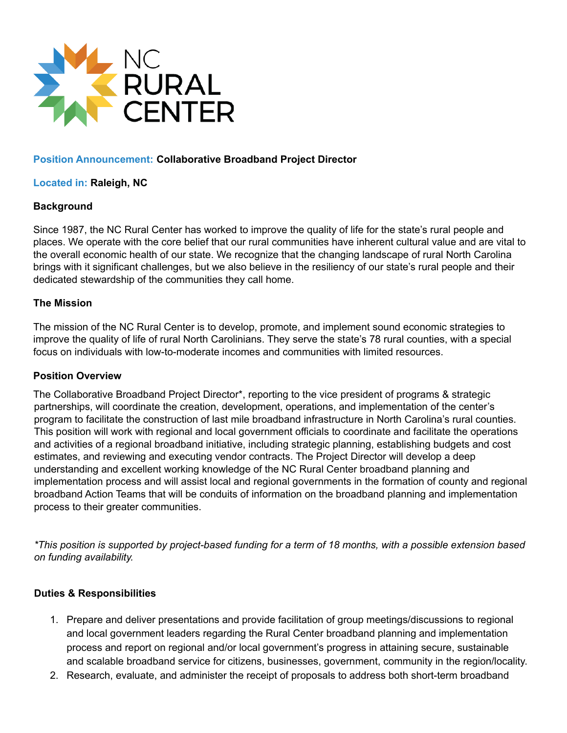

### **Position Announcement: Collaborative Broadband Project Director**

#### **Located in: Raleigh, NC**

#### **Background**

Since 1987, the NC Rural Center has worked to improve the quality of life for the state's rural people and places. We operate with the core belief that our rural communities have inherent cultural value and are vital to the overall economic health of our state. We recognize that the changing landscape of rural North Carolina brings with it significant challenges, but we also believe in the resiliency of our state's rural people and their dedicated stewardship of the communities they call home.

#### **The Mission**

The mission of the NC Rural Center is to develop, promote, and implement sound economic strategies to improve the quality of life of rural North Carolinians. They serve the state's 78 rural counties, with a special focus on individuals with low-to-moderate incomes and communities with limited resources.

#### **Position Overview**

The Collaborative Broadband Project Director\*, reporting to the vice president of programs & strategic partnerships, will coordinate the creation, development, operations, and implementation of the center's program to facilitate the construction of last mile broadband infrastructure in North Carolina's rural counties. This position will work with regional and local government officials to coordinate and facilitate the operations and activities of a regional broadband initiative, including strategic planning, establishing budgets and cost estimates, and reviewing and executing vendor contracts. The Project Director will develop a deep understanding and excellent working knowledge of the NC Rural Center broadband planning and implementation process and will assist local and regional governments in the formation of county and regional broadband Action Teams that will be conduits of information on the broadband planning and implementation process to their greater communities.

\*This position is supported by project-based funding for a term of 18 months, with a possible extension based *on funding availability.*

#### **Duties & Responsibilities**

- 1. Prepare and deliver presentations and provide facilitation of group meetings/discussions to regional and local government leaders regarding the Rural Center broadband planning and implementation process and report on regional and/or local government's progress in attaining secure, sustainable and scalable broadband service for citizens, businesses, government, community in the region/locality.
- 2. Research, evaluate, and administer the receipt of proposals to address both short-term broadband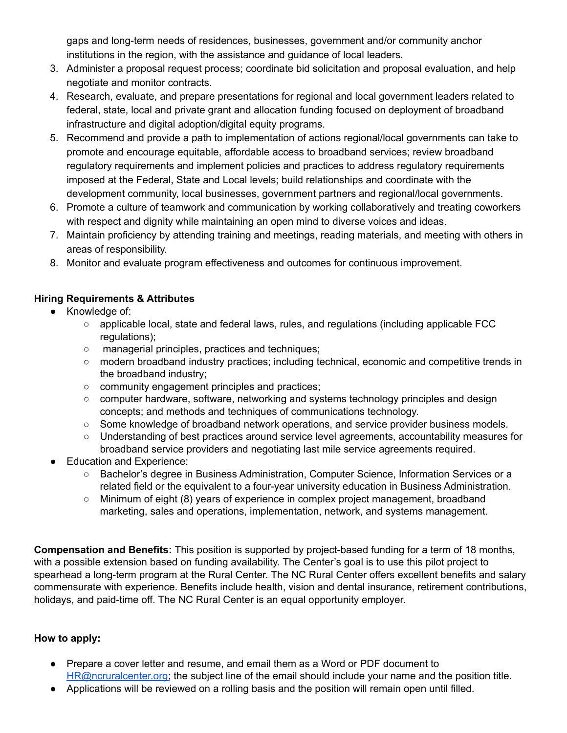gaps and long-term needs of residences, businesses, government and/or community anchor institutions in the region, with the assistance and guidance of local leaders.

- 3. Administer a proposal request process; coordinate bid solicitation and proposal evaluation, and help negotiate and monitor contracts.
- 4. Research, evaluate, and prepare presentations for regional and local government leaders related to federal, state, local and private grant and allocation funding focused on deployment of broadband infrastructure and digital adoption/digital equity programs.
- 5. Recommend and provide a path to implementation of actions regional/local governments can take to promote and encourage equitable, affordable access to broadband services; review broadband regulatory requirements and implement policies and practices to address regulatory requirements imposed at the Federal, State and Local levels; build relationships and coordinate with the development community, local businesses, government partners and regional/local governments.
- 6. Promote a culture of teamwork and communication by working collaboratively and treating coworkers with respect and dignity while maintaining an open mind to diverse voices and ideas.
- 7. Maintain proficiency by attending training and meetings, reading materials, and meeting with others in areas of responsibility.
- 8. Monitor and evaluate program effectiveness and outcomes for continuous improvement.

## **Hiring Requirements & Attributes**

- Knowledge of:
	- applicable local, state and federal laws, rules, and regulations (including applicable FCC regulations);
	- managerial principles, practices and techniques;
	- modern broadband industry practices; including technical, economic and competitive trends in the broadband industry;
	- community engagement principles and practices;
	- computer hardware, software, networking and systems technology principles and design concepts; and methods and techniques of communications technology.
	- Some knowledge of broadband network operations, and service provider business models.
	- Understanding of best practices around service level agreements, accountability measures for broadband service providers and negotiating last mile service agreements required.
- **Education and Experience:** 
	- Bachelor's degree in Business Administration, Computer Science, Information Services or a related field or the equivalent to a four-year university education in Business Administration.
	- Minimum of eight (8) years of experience in complex project management, broadband marketing, sales and operations, implementation, network, and systems management.

**Compensation and Benefits:** This position is supported by project-based funding for a term of 18 months, with a possible extension based on funding availability. The Center's goal is to use this pilot project to spearhead a long-term program at the Rural Center. The NC Rural Center offers excellent benefits and salary commensurate with experience. Benefits include health, vision and dental insurance, retirement contributions, holidays, and paid-time off. The NC Rural Center is an equal opportunity employer.

# **How to apply:**

- Prepare a cover letter and resume, and email them as a Word or PDF document to HR@ncruralcenter.org; the subject line of the email should include your name and the position title.
- Applications will be reviewed on a rolling basis and the position will remain open until filled.